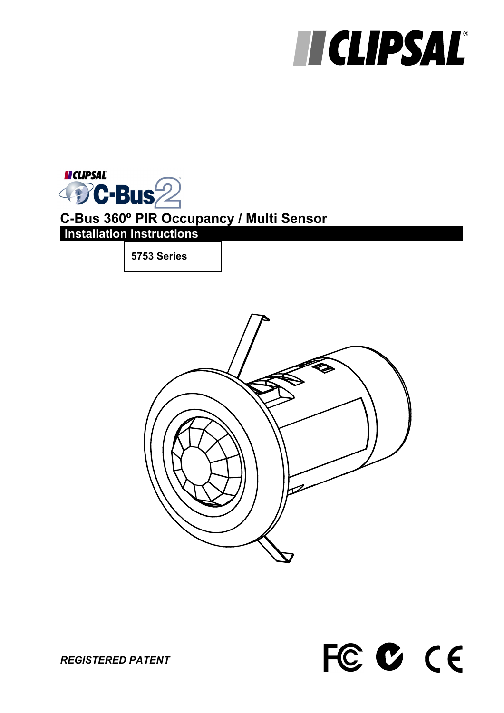# **TICLIPSAL®**

**II CLIPSAL** DC-Bus<sup>2</sup>  $\triangle$ **C-Bus 360º PIR Occupancy / Multi Sensor Installation Instructions** 

**5753 Series** 





*REGISTERED PATENT*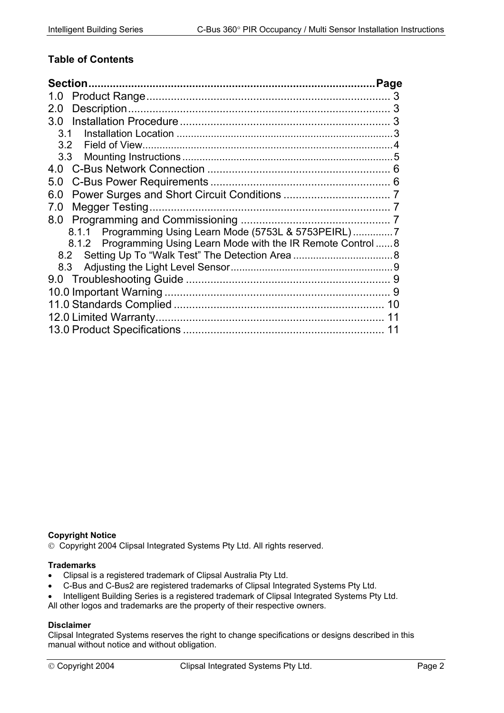#### **Table of Contents**

| 1.0                                                              |   |
|------------------------------------------------------------------|---|
| 2.0                                                              |   |
| 3.0 <sub>2</sub>                                                 |   |
| 3.1                                                              |   |
| 3.2                                                              |   |
| 3.3                                                              |   |
| 4.0                                                              |   |
| 5.0                                                              |   |
| 6.0                                                              |   |
| 7.0                                                              |   |
| 8.0                                                              |   |
| 8.1.1 Programming Using Learn Mode (5753L & 5753PEIRL)           |   |
| 8.1.2 Programming Using Learn Mode with the IR Remote Control  8 |   |
| 8.2                                                              |   |
| 8.3                                                              |   |
|                                                                  |   |
|                                                                  | 9 |
|                                                                  |   |
|                                                                  |   |
|                                                                  |   |

#### **Copyright Notice**

Copyright 2004 Clipsal Integrated Systems Pty Ltd. All rights reserved.

#### **Trademarks**

- Clipsal is a registered trademark of Clipsal Australia Pty Ltd.
- C-Bus and C-Bus2 are registered trademarks of Clipsal Integrated Systems Pty Ltd.
- Intelligent Building Series is a registered trademark of Clipsal Integrated Systems Pty Ltd.

All other logos and trademarks are the property of their respective owners.

#### **Disclaimer**

Clipsal Integrated Systems reserves the right to change specifications or designs described in this manual without notice and without obligation.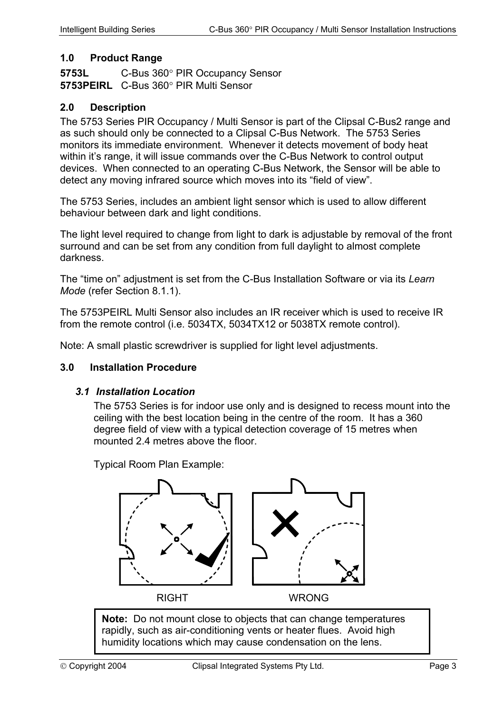#### <span id="page-2-0"></span>**1.0 Product Range**

**5753L** C-Bus 360° PIR Occupancy Sensor **5753PEIRL** C-Bus 360° PIR Multi Sensor

#### **2.0 Description**

The 5753 Series PIR Occupancy / Multi Sensor is part of the Clipsal C-Bus2 range and as such should only be connected to a Clipsal C-Bus Network. The 5753 Series monitors its immediate environment. Whenever it detects movement of body heat within it's range, it will issue commands over the C-Bus Network to control output devices. When connected to an operating C-Bus Network, the Sensor will be able to detect any moving infrared source which moves into its "field of view".

The 5753 Series, includes an ambient light sensor which is used to allow different behaviour between dark and light conditions.

The light level required to change from light to dark is adjustable by removal of the front surround and can be set from any condition from full daylight to almost complete darkness.

The "time on" adjustment is set from the C-Bus Installation Software or via its *Learn Mode* (refer Section [8.1.1\)](#page-6-1).

The 5753PEIRL Multi Sensor also includes an IR receiver which is used to receive IR from the remote control (i.e. 5034TX, 5034TX12 or 5038TX remote control).

Note: A small plastic screwdriver is supplied for light level adjustments.

#### **3.0 Installation Procedure**

#### *3.1 Installation Location*

The 5753 Series is for indoor use only and is designed to recess mount into the ceiling with the best location being in the centre of the room. It has a 360 degree field of view with a typical detection coverage of 15 metres when mounted 2.4 metres above the floor.

Typical Room Plan Example:



**Note:** Do not mount close to objects that can change temperatures rapidly, such as air-conditioning vents or heater flues. Avoid high humidity locations which may cause condensation on the lens.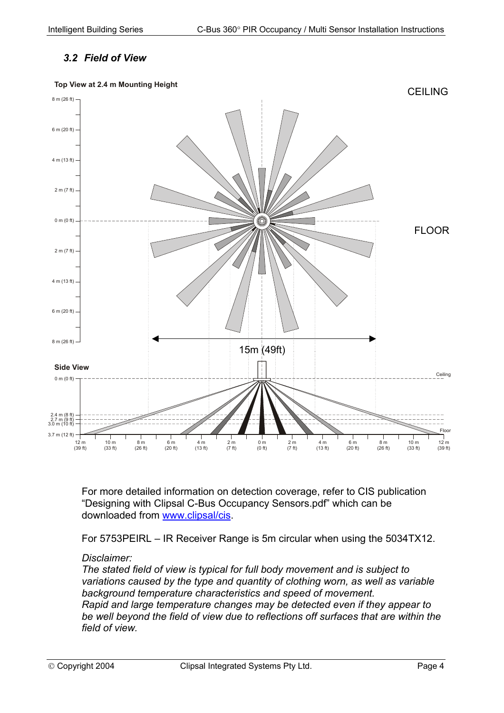## *3.2 Field of View*

<span id="page-3-0"></span>

For more detailed information on detection coverage, refer to CIS publication "Designing with Clipsal C-Bus Occupancy Sensors.pdf" which can be downloaded from [www.clipsal/cis](http://www.clipsal/cis).

For 5753PEIRL – IR Receiver Range is 5m circular when using the 5034TX12.

#### *Disclaimer:*

*The stated field of view is typical for full body movement and is subject to variations caused by the type and quantity of clothing worn, as well as variable background temperature characteristics and speed of movement. Rapid and large temperature changes may be detected even if they appear to be well beyond the field of view due to reflections off surfaces that are within the field of view.*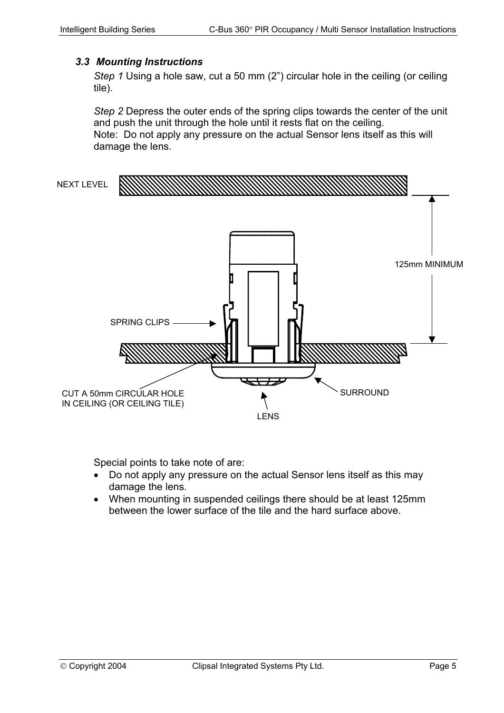#### <span id="page-4-0"></span>*3.3 Mounting Instructions*

*Step 1* Using a hole saw, cut a 50 mm (2") circular hole in the ceiling (or ceiling tile).

*Step 2* Depress the outer ends of the spring clips towards the center of the unit and push the unit through the hole until it rests flat on the ceiling. Note: Do not apply any pressure on the actual Sensor lens itself as this will damage the lens.



Special points to take note of are:

- Do not apply any pressure on the actual Sensor lens itself as this may damage the lens.
- When mounting in suspended ceilings there should be at least 125mm between the lower surface of the tile and the hard surface above.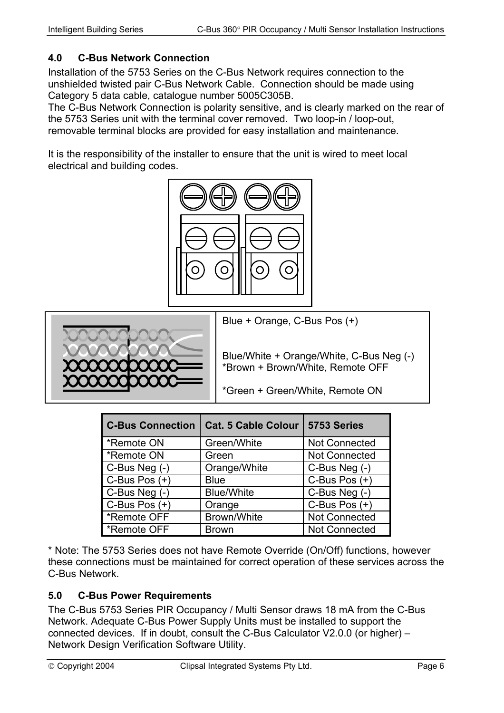## <span id="page-5-0"></span>**4.0 C-Bus Network Connection**

Installation of the 5753 Series on the C-Bus Network requires connection to the unshielded twisted pair C-Bus Network Cable. Connection should be made using Category 5 data cable, catalogue number 5005C305B.

The C-Bus Network Connection is polarity sensitive, and is clearly marked on the rear of the 5753 Series unit with the terminal cover removed. Two loop-in / loop-out, removable terminal blocks are provided for easy installation and maintenance.

It is the responsibility of the installer to ensure that the unit is wired to meet local electrical and building codes.





Blue + Orange, C-Bus Pos (+)

Blue/White + Orange/White, C-Bus Neg (-) \*Brown + Brown/White, Remote OFF

\*Green + Green/White, Remote ON

| <b>C-Bus Connection</b> | <b>Cat. 5 Cable Colour</b> | 5753 Series          |
|-------------------------|----------------------------|----------------------|
| *Remote ON              | Green/White                | <b>Not Connected</b> |
| *Remote ON              | Green                      | <b>Not Connected</b> |
| $C$ -Bus Neg $(-)$      | Orange/White               | C-Bus Neg (-)        |
| C-Bus Pos $(+)$         | <b>Blue</b>                | C-Bus Pos $(+)$      |
| C-Bus Neg (-)           | <b>Blue/White</b>          | C-Bus Neg (-)        |
| $C$ -Bus Pos $(+)$      | Orange                     | C-Bus Pos $(+)$      |
| *Remote OFF             | Brown/White                | <b>Not Connected</b> |
| *Remote OFF             | <b>Brown</b>               | <b>Not Connected</b> |

\* Note: The 5753 Series does not have Remote Override (On/Off) functions, however these connections must be maintained for correct operation of these services across the C-Bus Network.

### **5.0 C-Bus Power Requirements**

The C-Bus 5753 Series PIR Occupancy / Multi Sensor draws 18 mA from the C-Bus Network. Adequate C-Bus Power Supply Units must be installed to support the connected devices. If in doubt, consult the C-Bus Calculator V2.0.0 (or higher) – Network Design Verification Software Utility.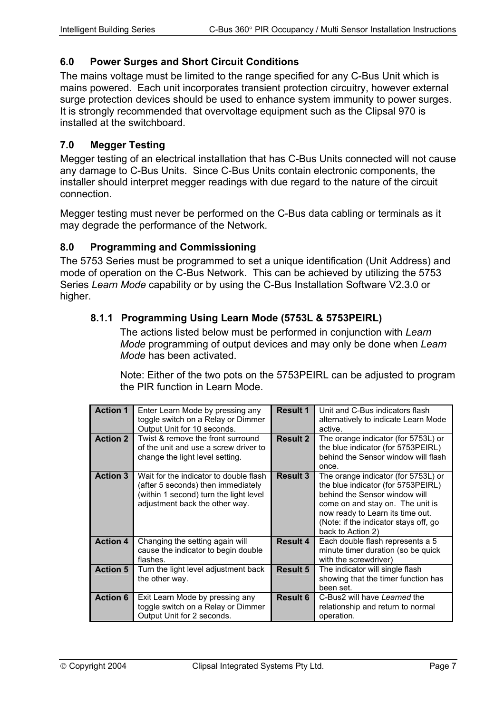#### <span id="page-6-0"></span>**6.0 Power Surges and Short Circuit Conditions**

The mains voltage must be limited to the range specified for any C-Bus Unit which is mains powered. Each unit incorporates transient protection circuitry, however external surge protection devices should be used to enhance system immunity to power surges. It is strongly recommended that overvoltage equipment such as the Clipsal 970 is installed at the switchboard.

#### **7.0 Megger Testing**

Megger testing of an electrical installation that has C-Bus Units connected will not cause any damage to C-Bus Units. Since C-Bus Units contain electronic components, the installer should interpret megger readings with due regard to the nature of the circuit connection.

Megger testing must never be performed on the C-Bus data cabling or terminals as it may degrade the performance of the Network.

#### **8.0 Programming and Commissioning**

The 5753 Series must be programmed to set a unique identification (Unit Address) and mode of operation on the C-Bus Network. This can be achieved by utilizing the 5753 Series *Learn Mode* capability or by using the C-Bus Installation Software V2.3.0 or higher.

### **8.1.1 Programming Using Learn Mode (5753L & 5753PEIRL)**

<span id="page-6-1"></span>The actions listed below must be performed in conjunction with *Learn Mode* programming of output devices and may only be done when *Learn Mode* has been activated.

Note: Either of the two pots on the 5753PEIRL can be adjusted to program the PIR function in Learn Mode.

| <b>Action 1</b> | Enter Learn Mode by pressing any<br>toggle switch on a Relay or Dimmer<br>Output Unit for 10 seconds.                                                    | <b>Result 1</b> | Unit and C-Bus indicators flash<br>alternatively to indicate Learn Mode<br>active.                                                                                                                                                               |
|-----------------|----------------------------------------------------------------------------------------------------------------------------------------------------------|-----------------|--------------------------------------------------------------------------------------------------------------------------------------------------------------------------------------------------------------------------------------------------|
| <b>Action 2</b> | Twist & remove the front surround<br>of the unit and use a screw driver to<br>change the light level setting.                                            | Result 2        | The orange indicator (for 5753L) or<br>the blue indicator (for 5753PEIRL)<br>behind the Sensor window will flash<br>once.                                                                                                                        |
| <b>Action 3</b> | Wait for the indicator to double flash<br>(after 5 seconds) then immediately<br>(within 1 second) turn the light level<br>adjustment back the other way. | <b>Result 3</b> | The orange indicator (for 5753L) or<br>the blue indicator (for 5753PEIRL)<br>behind the Sensor window will<br>come on and stay on. The unit is<br>now ready to Learn its time out.<br>(Note: if the indicator stays off, go<br>back to Action 2) |
| <b>Action 4</b> | Changing the setting again will<br>cause the indicator to begin double<br>flashes.                                                                       | Result 4        | Each double flash represents a 5<br>minute timer duration (so be quick<br>with the screwdriver)                                                                                                                                                  |
| <b>Action 5</b> | Turn the light level adjustment back<br>the other way.                                                                                                   | <b>Result 5</b> | The indicator will single flash<br>showing that the timer function has<br>been set.                                                                                                                                                              |
| <b>Action 6</b> | Exit Learn Mode by pressing any<br>toggle switch on a Relay or Dimmer<br>Output Unit for 2 seconds.                                                      | <b>Result 6</b> | C-Bus2 will have Learned the<br>relationship and return to normal<br>operation.                                                                                                                                                                  |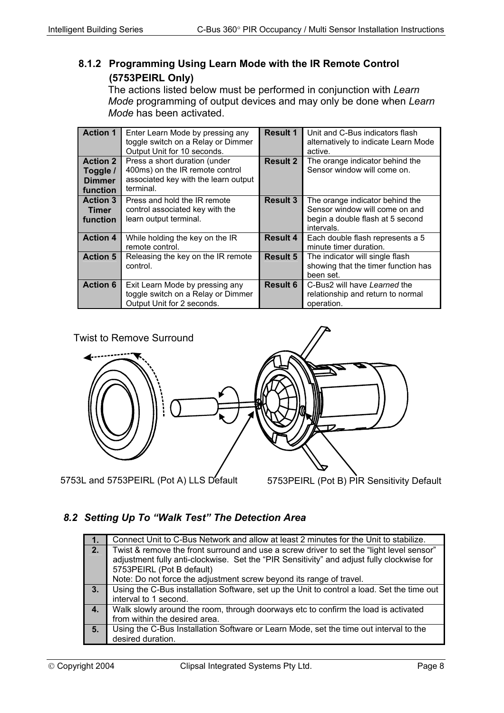## <span id="page-7-0"></span>**8.1.2 Programming Using Learn Mode with the IR Remote Control (5753PEIRL Only)**

The actions listed below must be performed in conjunction with *Learn Mode* programming of output devices and may only be done when *Learn Mode* has been activated.

| <b>Action 1</b>                                          | Enter Learn Mode by pressing any<br>toggle switch on a Relay or Dimmer<br>Output Unit for 10 seconds.                 | <b>Result 1</b> | Unit and C-Bus indicators flash<br>alternatively to indicate Learn Mode<br>active.                                  |
|----------------------------------------------------------|-----------------------------------------------------------------------------------------------------------------------|-----------------|---------------------------------------------------------------------------------------------------------------------|
| <b>Action 2</b><br>Toggle /<br><b>Dimmer</b><br>function | Press a short duration (under<br>400ms) on the IR remote control<br>associated key with the learn output<br>terminal. | <b>Result 2</b> | The orange indicator behind the<br>Sensor window will come on.                                                      |
| <b>Action 3</b><br><b>Timer</b><br>function              | Press and hold the IR remote<br>control associated key with the<br>learn output terminal.                             | <b>Result 3</b> | The orange indicator behind the<br>Sensor window will come on and<br>begin a double flash at 5 second<br>intervals. |
| <b>Action 4</b>                                          | While holding the key on the IR<br>remote control.                                                                    | <b>Result 4</b> | Each double flash represents a 5<br>minute timer duration.                                                          |
| <b>Action 5</b>                                          | Releasing the key on the IR remote<br>control.                                                                        | Result 5        | The indicator will single flash<br>showing that the timer function has<br>been set.                                 |
| <b>Action 6</b>                                          | Exit Learn Mode by pressing any<br>toggle switch on a Relay or Dimmer<br>Output Unit for 2 seconds.                   | Result 6        | C-Bus2 will have Learned the<br>relationship and return to normal<br>operation.                                     |



## *8.2 Setting Up To "Walk Test" The Detection Area*

| 1.  | Connect Unit to C-Bus Network and allow at least 2 minutes for the Unit to stabilize.      |  |  |
|-----|--------------------------------------------------------------------------------------------|--|--|
| 2.7 | Twist & remove the front surround and use a screw driver to set the "light level sensor"   |  |  |
|     | adjustment fully anti-clockwise. Set the "PIR Sensitivity" and adjust fully clockwise for  |  |  |
|     | 5753PEIRL (Pot B default)                                                                  |  |  |
|     | Note: Do not force the adjustment screw beyond its range of travel.                        |  |  |
| 3.7 | Using the C-Bus installation Software, set up the Unit to control a load. Set the time out |  |  |
|     | interval to 1 second.                                                                      |  |  |
| 4.  | Walk slowly around the room, through doorways etc to confirm the load is activated         |  |  |
|     | from within the desired area.                                                              |  |  |
| 5.  | Using the C-Bus Installation Software or Learn Mode, set the time out interval to the      |  |  |
|     | desired duration.                                                                          |  |  |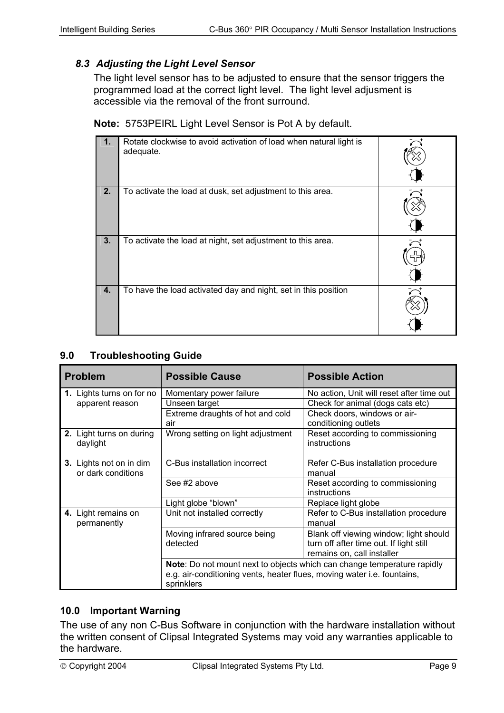## <span id="page-8-0"></span>*8.3 Adjusting the Light Level Sensor*

The light level sensor has to be adjusted to ensure that the sensor triggers the programmed load at the correct light level. The light level adjusment is accessible via the removal of the front surround.

**Note:** 5753PEIRL Light Level Sensor is Pot A by default.

|    | Rotate clockwise to avoid activation of load when natural light is<br>adequate. |  |
|----|---------------------------------------------------------------------------------|--|
| 2. | To activate the load at dusk, set adjustment to this area.                      |  |
| 3. | To activate the load at night, set adjustment to this area.                     |  |
| 4. | To have the load activated day and night, set in this position                  |  |

### **9.0 Troubleshooting Guide**

| <b>Problem</b>                                | <b>Possible Cause</b>                                                                 | <b>Possible Action</b>                                                                                          |
|-----------------------------------------------|---------------------------------------------------------------------------------------|-----------------------------------------------------------------------------------------------------------------|
| 1. Lights turns on for no                     | Momentary power failure                                                               | No action, Unit will reset after time out                                                                       |
| apparent reason                               | Unseen target                                                                         | Check for animal (dogs cats etc)                                                                                |
|                                               | Extreme draughts of hot and cold                                                      | Check doors, windows or air-                                                                                    |
|                                               | air                                                                                   | conditioning outlets                                                                                            |
| 2. Light turns on during<br>daylight          | Wrong setting on light adjustment                                                     | Reset according to commissioning<br>instructions                                                                |
| 3. Lights not on in dim<br>or dark conditions | C-Bus installation incorrect                                                          | Refer C-Bus installation procedure<br>manual                                                                    |
|                                               | See #2 above                                                                          | Reset according to commissioning<br>instructions                                                                |
|                                               | Light globe "blown"                                                                   | Replace light globe                                                                                             |
| 4. Light remains on<br>permanently            | Unit not installed correctly                                                          | Refer to C-Bus installation procedure<br>manual                                                                 |
|                                               | Moving infrared source being<br>detected                                              | Blank off viewing window; light should<br>turn off after time out. If light still<br>remains on, call installer |
|                                               | e.g. air-conditioning vents, heater flues, moving water i.e. fountains,<br>sprinklers | Note: Do not mount next to objects which can change temperature rapidly                                         |

### **10.0 Important Warning**

The use of any non C-Bus Software in conjunction with the hardware installation without the written consent of Clipsal Integrated Systems may void any warranties applicable to the hardware.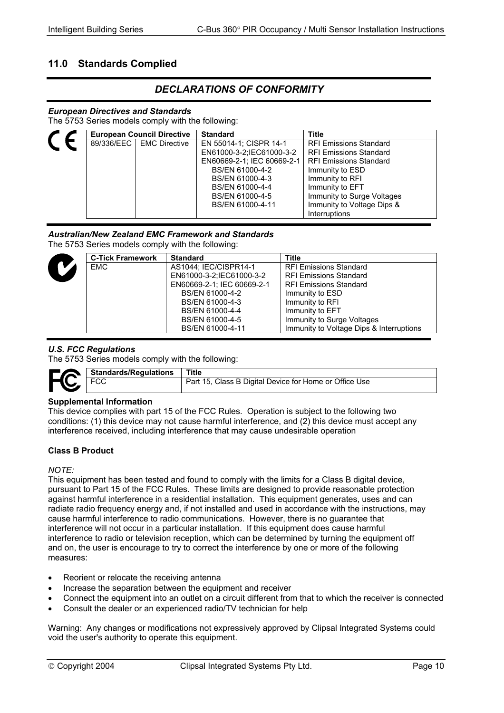## <span id="page-9-0"></span>**11.0 Standards Complied**

## *DECLARATIONS OF CONFORMITY*

#### *European Directives and Standards*

The 5753 Series models comply with the following:

|  | <b>European Council Directive</b> | <b>Standard</b>            | <b>Title</b>                  |
|--|-----------------------------------|----------------------------|-------------------------------|
|  | 89/336/EEC   EMC Directive        | EN 55014-1; CISPR 14-1     | <b>RFI Emissions Standard</b> |
|  |                                   | EN61000-3-2:IEC61000-3-2   | <b>RFI Emissions Standard</b> |
|  |                                   | EN60669-2-1; IEC 60669-2-1 | <b>RFI Emissions Standard</b> |
|  |                                   | BS/EN 61000-4-2            | Immunity to ESD               |
|  |                                   | BS/EN 61000-4-3            | Immunity to RFI               |
|  |                                   | BS/EN 61000-4-4            | Immunity to EFT               |
|  |                                   | BS/EN 61000-4-5            | Immunity to Surge Voltages    |
|  |                                   | BS/EN 61000-4-11           | Immunity to Voltage Dips &    |
|  |                                   |                            | <b>Interruptions</b>          |

#### *Australian/New Zealand EMC Framework and Standards*

The 5753 Series models comply with the following:

| <b>C-Tick Framework</b> | <b>Standard</b>            | <b>Title</b>                             |
|-------------------------|----------------------------|------------------------------------------|
| EMC.                    | AS1044: IEC/CISPR14-1      | <b>RFI Emissions Standard</b>            |
|                         | EN61000-3-2:IEC61000-3-2   | <b>RFI Emissions Standard</b>            |
|                         | EN60669-2-1; IEC 60669-2-1 | <b>RFI Emissions Standard</b>            |
|                         | BS/EN 61000-4-2            | Immunity to ESD                          |
|                         | BS/EN 61000-4-3            | Immunity to RFI                          |
|                         | BS/EN 61000-4-4            | Immunity to EFT                          |
|                         | BS/EN 61000-4-5            | Immunity to Surge Voltages               |
|                         | BS/EN 61000-4-11           | Immunity to Voltage Dips & Interruptions |

#### *U.S. FCC Regulations*

The 5753 Series models comply with the following:

| <b>LA</b>      | Standards/Regulations | Title                                                  |
|----------------|-----------------------|--------------------------------------------------------|
| $\blacksquare$ | ∵∪∪                   | Part 15, Class B Digital Device for Home or Office Use |

#### **Supplemental Information**

This device complies with part 15 of the FCC Rules. Operation is subject to the following two conditions: (1) this device may not cause harmful interference, and (2) this device must accept any interference received, including interference that may cause undesirable operation

#### **Class B Product**

#### *NOTE:*

This equipment has been tested and found to comply with the limits for a Class B digital device, pursuant to Part 15 of the FCC Rules. These limits are designed to provide reasonable protection against harmful interference in a residential installation. This equipment generates, uses and can radiate radio frequency energy and, if not installed and used in accordance with the instructions, may cause harmful interference to radio communications. However, there is no guarantee that interference will not occur in a particular installation. If this equipment does cause harmful interference to radio or television reception, which can be determined by turning the equipment off and on, the user is encourage to try to correct the interference by one or more of the following measures:

- Reorient or relocate the receiving antenna
- Increase the separation between the equipment and receiver
- Connect the equipment into an outlet on a circuit different from that to which the receiver is connected
- Consult the dealer or an experienced radio/TV technician for help

Warning: Any changes or modifications not expressively approved by Clipsal Integrated Systems could void the user's authority to operate this equipment.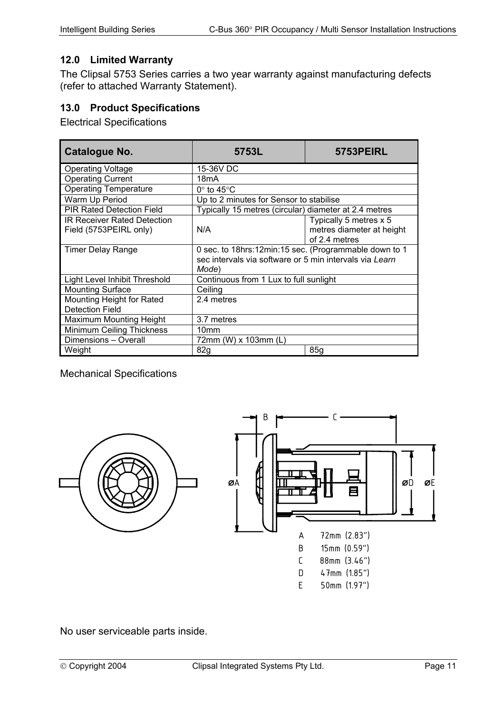## <span id="page-10-0"></span>**12.0 Limited Warranty**

The Clipsal 5753 Series carries a two year warranty against manufacturing defects (refer to attached Warranty Statement).

## **13.0 Product Specifications**

Electrical Specifications

| Catalogue No.                                                | 5753L                                                                                                                     | <b>5753PEIRL</b>                                                     |
|--------------------------------------------------------------|---------------------------------------------------------------------------------------------------------------------------|----------------------------------------------------------------------|
| Operating Voltage                                            | 15-36V DC                                                                                                                 |                                                                      |
| <b>Operating Current</b>                                     | 18mA                                                                                                                      |                                                                      |
| <b>Operating Temperature</b>                                 | $0^\circ$ to 45 $^\circ$ C                                                                                                |                                                                      |
| Warm Up Period                                               | Up to 2 minutes for Sensor to stabilise                                                                                   |                                                                      |
| <b>PIR Rated Detection Field</b>                             | Typically 15 metres (circular) diameter at 2.4 metres                                                                     |                                                                      |
| <b>IR Receiver Rated Detection</b><br>Field (5753PEIRL only) | N/A                                                                                                                       | Typically 5 metres x 5<br>metres diameter at height<br>of 2.4 metres |
| <b>Timer Delay Range</b>                                     | 0 sec. to 18hrs:12min:15 sec. (Programmable down to 1<br>sec intervals via software or 5 min intervals via Learn<br>Mode) |                                                                      |
| <b>Light Level Inhibit Threshold</b>                         | Continuous from 1 Lux to full sunlight                                                                                    |                                                                      |
| <b>Mounting Surface</b>                                      | Ceiling                                                                                                                   |                                                                      |
| Mounting Height for Rated<br><b>Detection Field</b>          | 2.4 metres                                                                                                                |                                                                      |
| Maximum Mounting Height                                      | 3.7 metres                                                                                                                |                                                                      |
| Minimum Ceiling Thickness                                    | 10 <sub>mm</sub>                                                                                                          |                                                                      |
| Dimensions - Overall                                         | 72mm (W) x 103mm (L)                                                                                                      |                                                                      |
| Weight                                                       | 82g                                                                                                                       | 85q                                                                  |

#### Mechanical Specifications



No user serviceable parts inside.